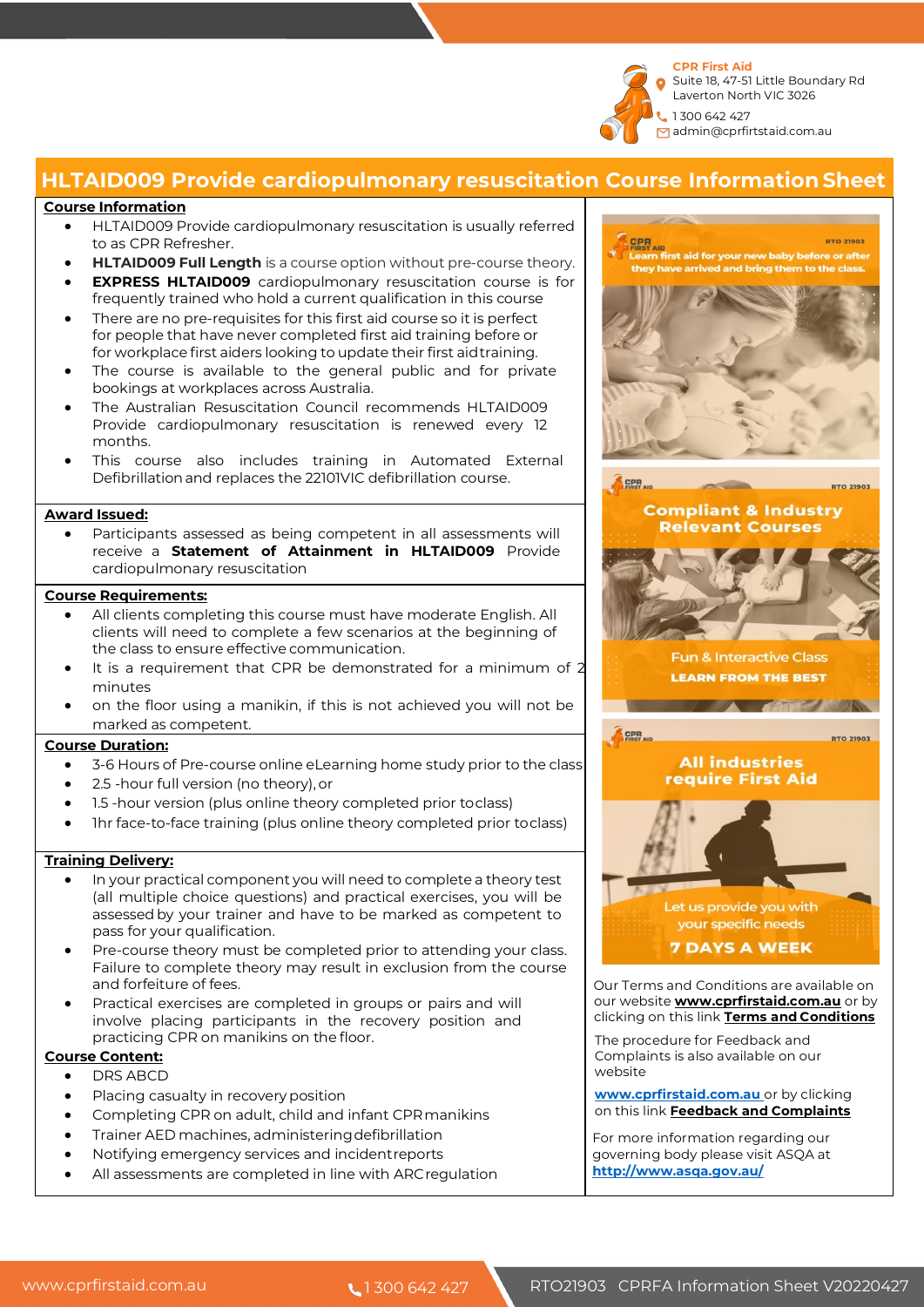

# **HLTAID009 Provide cardiopulmonary resuscitation Course InformationSheet**

#### **Course Information**

- HLTAID009 Provide cardiopulmonary resuscitation is usually referred to as CPR Refresher.
- **HLTAID009 Full Length** is a course option without pre-course theory.
- **EXPRESS HLTAID009** cardiopulmonary resuscitation course is for frequently trained who hold a current qualification in this course
- There are no pre-requisites for this first aid course so it is perfect for people that have never completed first aid training before or for workplace first aiders looking to update their first aidtraining.
- The course is available to the general public and for private bookings at workplaces across Australia.
- The Australian Resuscitation Council recommends HLTAID009 Provide cardiopulmonary resuscitation is renewed every 12 months.
- This course also includes training in Automated External Defibrillationand replaces the 22101VIC defibrillation course.

#### **Award Issued:**

Participants assessed as being competent in all assessments will receive a **Statement of Attainment in HLTAID009** Provide cardiopulmonary resuscitation

#### **Course Requirements:**

- All clients completing this course must have moderate English. All clients will need to complete a few scenarios at the beginning of the class to ensure effective communication.
- It is a requirement that CPR be demonstrated for a minimum of 2 minutes
- on the floor using a manikin, if this is not achieved you will not be marked as competent.

#### **Course Duration:**

- 3-6 Hours of Pre-course online eLearning home study prior to the class
- 2.5 -hour full version (no theory), or
- 1.5 -hour version (plus online theory completed prior toclass)
- 1hr face-to-face training (plus online theory completed prior toclass)

### **Training Delivery:**

- In your practical component you will need to complete a theory test (all multiple choice questions) and practical exercises, you will be assessedby your trainer and have to be marked as competent to pass for your qualification.
- Pre-course theory must be completed prior to attending your class. Failure to complete theory may result in exclusion from the course and forfeiture of fees.
- Practical exercises are completed in groups or pairs and will involve placing participants in the recovery position and practicing CPR on manikins on the floor.

### **Course Content:**

- DRS ABCD
- Placing casualty in recovery position
- Completing CPR on adult, child and infant CPRmanikins
- Trainer AED machines, administeringdefibrillation
- Notifying emergency services and incidentreports
- All assessments are completed in line with ARCregulation



**www.cprfirstaid.com.au** or by clicking on this link **Feedback and Complaints**

 For more information regarding our governing body please visit ASQA at **http://www.asqa.gov.au/**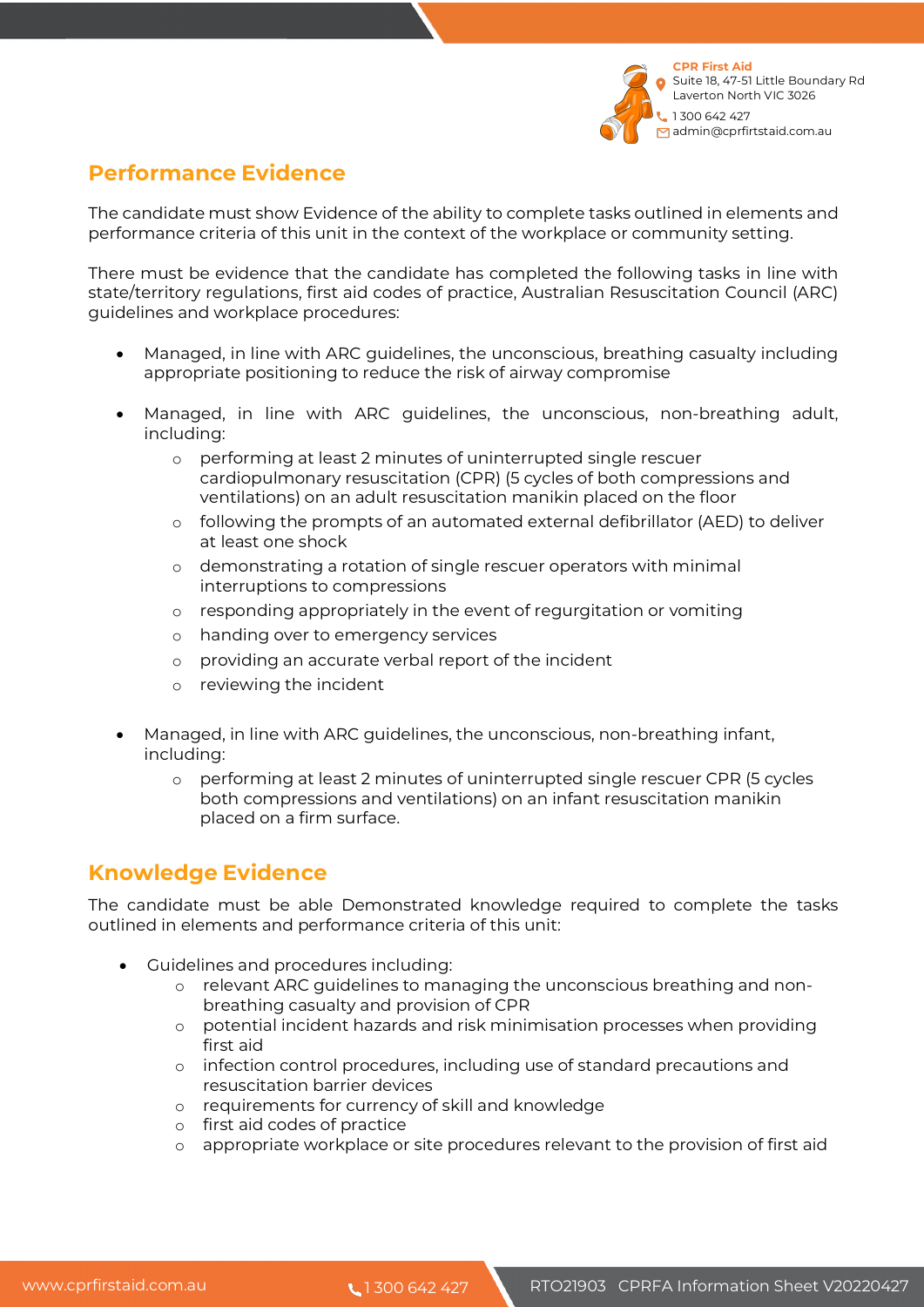

# **Performance Evidence**

The candidate must show Evidence of the ability to complete tasks outlined in elements and performance criteria of this unit in the context of the workplace or community setting.

There must be evidence that the candidate has completed the following tasks in line with state/territory regulations, first aid codes of practice, Australian Resuscitation Council (ARC) guidelines and workplace procedures:

- Managed, in line with ARC guidelines, the unconscious, breathing casualty including appropriate positioning to reduce the risk of airway compromise
- Managed, in line with ARC guidelines, the unconscious, non-breathing adult, including:
	- o performing at least 2 minutes of uninterrupted single rescuer cardiopulmonary resuscitation (CPR) (5 cycles of both compressions and ventilations) on an adult resuscitation manikin placed on the floor
	- o following the prompts of an automated external defibrillator (AED) to deliver at least one shock
	- o demonstrating a rotation of single rescuer operators with minimal interruptions to compressions
	- o responding appropriately in the event of regurgitation or vomiting
	- o handing over to emergency services
	- o providing an accurate verbal report of the incident
	- o reviewing the incident
- Managed, in line with ARC guidelines, the unconscious, non-breathing infant, including:
	- o performing at least 2 minutes of uninterrupted single rescuer CPR (5 cycles both compressions and ventilations) on an infant resuscitation manikin placed on a firm surface.

# **Knowledge Evidence**

The candidate must be able Demonstrated knowledge required to complete the tasks outlined in elements and performance criteria of this unit:

- Guidelines and procedures including:
	- o relevant ARC guidelines to managing the unconscious breathing and nonbreathing casualty and provision of CPR
	- o potential incident hazards and risk minimisation processes when providing first aid
	- o infection control procedures, including use of standard precautions and resuscitation barrier devices
	- o requirements for currency of skill and knowledge
	- o first aid codes of practice
	- o appropriate workplace or site procedures relevant to the provision of first aid